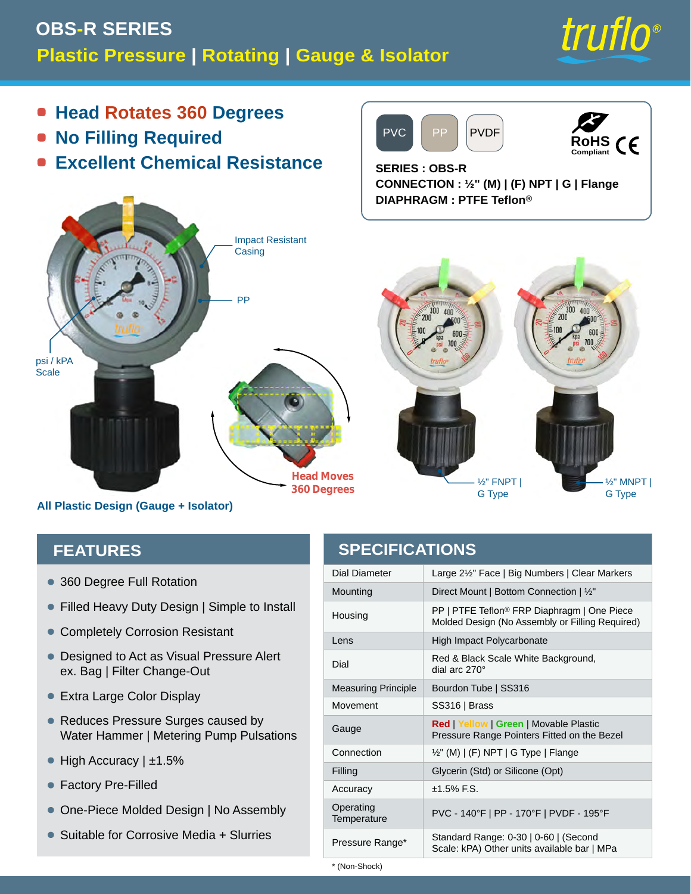## **Plastic Pressure | Rotating | Gauge & Isolator OBS-R SERIES**



**RoHS Compliant**

 $\epsilon$ 

- **Head Rotates 360 Degrees**  $\bullet$
- **No Filling Required**  $\blacksquare$
- **Excellent Chemical Resistance**  $\bullet$



**All Plastic Design (Gauge + Isolator)**

#### **FEATURES**

- 360 Degree Full Rotation
- Filled Heavy Duty Design | Simple to Install
- Completely Corrosion Resistant
- Designed to Act as Visual Pressure Alert ex. Bag | Filter Change-Out
- Extra Large Color Display
- Reduces Pressure Surges caused by Water Hammer | Metering Pump Pulsations
- High Accuracy | ±1.5%
- Factory Pre-Filled
- One-Piece Molded Design | No Assembly
- Suitable for Corrosive Media + Slurries

#### **SPECIFICATIONS**

PVC PP PVDF

**CONNECTION : ½" (M) | (F) NPT | G | Flange**

**SERIES : OBS-R**

| Dial Diameter              | Large 2½" Face   Big Numbers   Clear Markers                                                               |
|----------------------------|------------------------------------------------------------------------------------------------------------|
| Mounting                   | Direct Mount   Bottom Connection   1/2"                                                                    |
| Housing                    | PP   PTFE Teflon <sup>®</sup> FRP Diaphragm   One Piece<br>Molded Design (No Assembly or Filling Required) |
| Lens                       | High Impact Polycarbonate                                                                                  |
| Dial                       | Red & Black Scale White Background,<br>dial arc $270^\circ$                                                |
| <b>Measuring Principle</b> | Bourdon Tube   SS316                                                                                       |
| Movement                   | SS316   Brass                                                                                              |
| Gauge                      | <b>Red   Yellow   Green   Movable Plastic</b><br>Pressure Range Pointers Fitted on the Bezel               |
| Connection                 | 1/2" (M)   (F) NPT   G Type   Flange                                                                       |
| Filling                    | Glycerin (Std) or Silicone (Opt)                                                                           |
| Accuracy                   | $±1.5\%$ F.S.                                                                                              |
| Operating<br>Temperature   | PVC - 140°F   PP - 170°F   PVDF - 195°F                                                                    |
| Pressure Range*            | Standard Range: 0-30   0-60   (Second<br>Scale: kPA) Other units available bar   MPa                       |

\* (Non-Shock)